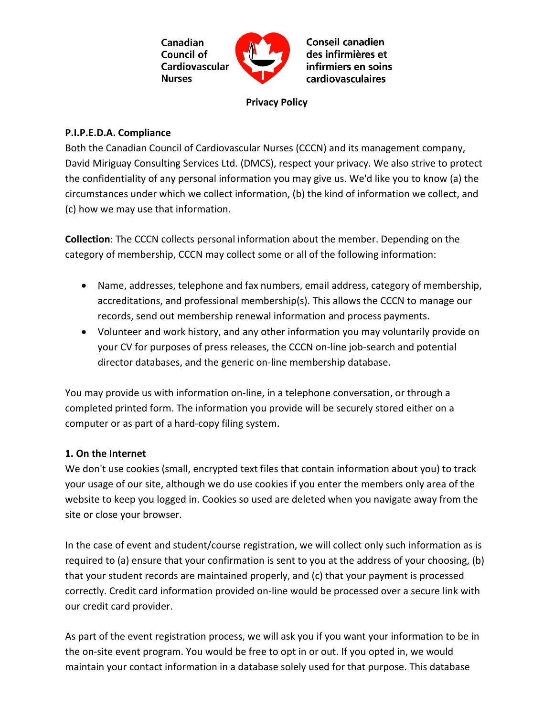

**Privacy Policy**

### **P.I.P.E.D.A. Compliance**

Both the Canadian Council of Cardiovascular Nurses (CCCN) and its management company, David Miriguay Consulting Services Ltd. (DMCS), respect your privacy. We also strive to protect the confidentiality of any personal information you may give us. We'd like you to know (a) the circumstances under which we collect information, (b) the kind of information we collect, and (c) how we may use that information.

**Collection**: The CCCN collects personal information about the member. Depending on the category of membership, CCCN may collect some or all of the following information:

- Name, addresses, telephone and fax numbers, email address, category of membership, accreditations, and professional membership(s). This allows the CCCN to manage our records, send out membership renewal information and process payments.
- Volunteer and work history, and any other information you may voluntarily provide on your CV for purposes of press releases, the CCCN on-line job-search and potential director databases, and the generic on-line membership database.

You may provide us with information on-line, in a telephone conversation, or through a completed printed form. The information you provide will be securely stored either on a computer or as part of a hard-copy filing system.

## **1. On the Internet**

We don't use cookies (small, encrypted text files that contain information about you) to track your usage of our site, although we do use cookies if you enter the members only area of the website to keep you logged in. Cookies so used are deleted when you navigate away from the site or close your browser.

In the case of event and student/course registration, we will collect only such information as is required to (a) ensure that your confirmation is sent to you at the address of your choosing, (b) that your student records are maintained properly, and (c) that your payment is processed correctly. Credit card information provided on-line would be processed over a secure link with our credit card provider.

As part of the event registration process, we will ask you if you want your information to be in the on-site event program. You would be free to opt in or out. If you opted in, we would maintain your contact information in a database solely used for that purpose. This database